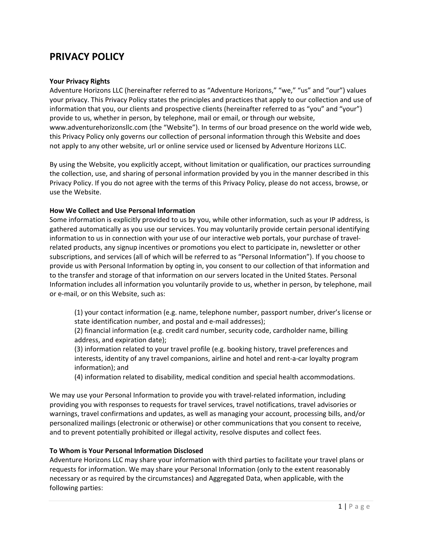# **PRIVACY POLICY**

# **Your Privacy Rights**

Adventure Horizons LLC (hereinafter referred to as "Adventure Horizons," "we," "us" and "our") values your privacy. This Privacy Policy states the principles and practices that apply to our collection and use of information that you, our clients and prospective clients (hereinafter referred to as "you" and "your") provide to us, whether in person, by telephone, mail or email, or through our website, www.adventurehorizonsllc.com (the "Website"). In terms of our broad presence on the world wide web, this Privacy Policy only governs our collection of personal information through this Website and does not apply to any other website, url or online service used or licensed by Adventure Horizons LLC.

By using the Website, you explicitly accept, without limitation or qualification, our practices surrounding the collection, use, and sharing of personal information provided by you in the manner described in this Privacy Policy. If you do not agree with the terms of this Privacy Policy, please do not access, browse, or use the Website.

# **How We Collect and Use Personal Information**

Some information is explicitly provided to us by you, while other information, such as your IP address, is gathered automatically as you use our services. You may voluntarily provide certain personal identifying information to us in connection with your use of our interactive web portals, your purchase of travelrelated products, any signup incentives or promotions you elect to participate in, newsletter or other subscriptions, and services (all of which will be referred to as "Personal Information"). If you choose to provide us with Personal Information by opting in, you consent to our collection of that information and to the transfer and storage of that information on our servers located in the United States. Personal Information includes all information you voluntarily provide to us, whether in person, by telephone, mail or e-mail, or on this Website, such as:

(1) your contact information (e.g. name, telephone number, passport number, driver's license or state identification number, and postal and e-mail addresses);

(2) financial information (e.g. credit card number, security code, cardholder name, billing address, and expiration date);

(3) information related to your travel profile (e.g. booking history, travel preferences and interests, identity of any travel companions, airline and hotel and rent-a-car loyalty program information); and

(4) information related to disability, medical condition and special health accommodations.

We may use your Personal Information to provide you with travel-related information, including providing you with responses to requests for travel services, travel notifications, travel advisories or warnings, travel confirmations and updates, as well as managing your account, processing bills, and/or personalized mailings (electronic or otherwise) or other communications that you consent to receive, and to prevent potentially prohibited or illegal activity, resolve disputes and collect fees.

# **To Whom is Your Personal Information Disclosed**

Adventure Horizons LLC may share your information with third parties to facilitate your travel plans or requests for information. We may share your Personal Information (only to the extent reasonably necessary or as required by the circumstances) and Aggregated Data, when applicable, with the following parties: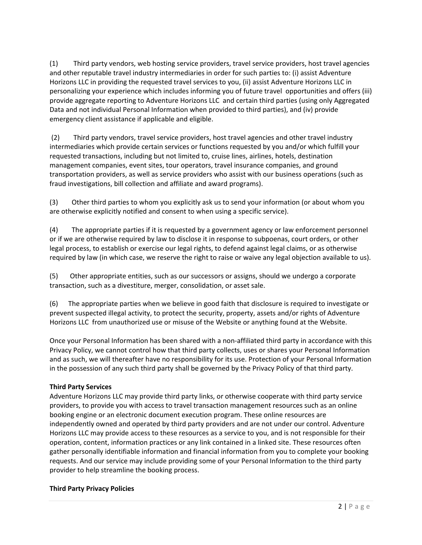(1) Third party vendors, web hosting service providers, travel service providers, host travel agencies and other reputable travel industry intermediaries in order for such parties to: (i) assist Adventure Horizons LLC in providing the requested travel services to you, (ii) assist Adventure Horizons LLC in personalizing your experience which includes informing you of future travel opportunities and offers (iii) provide aggregate reporting to Adventure Horizons LLC and certain third parties (using only Aggregated Data and not individual Personal Information when provided to third parties), and (iv) provide emergency client assistance if applicable and eligible.

(2) Third party vendors, travel service providers, host travel agencies and other travel industry intermediaries which provide certain services or functions requested by you and/or which fulfill your requested transactions, including but not limited to, cruise lines, airlines, hotels, destination management companies, event sites, tour operators, travel insurance companies, and ground transportation providers, as well as service providers who assist with our business operations (such as fraud investigations, bill collection and affiliate and award programs).

(3) Other third parties to whom you explicitly ask us to send your information (or about whom you are otherwise explicitly notified and consent to when using a specific service).

(4) The appropriate parties if it is requested by a government agency or law enforcement personnel or if we are otherwise required by law to disclose it in response to subpoenas, court orders, or other legal process, to establish or exercise our legal rights, to defend against legal claims, or as otherwise required by law (in which case, we reserve the right to raise or waive any legal objection available to us).

(5) Other appropriate entities, such as our successors or assigns, should we undergo a corporate transaction, such as a divestiture, merger, consolidation, or asset sale.

(6) The appropriate parties when we believe in good faith that disclosure is required to investigate or prevent suspected illegal activity, to protect the security, property, assets and/or rights of Adventure Horizons LLC from unauthorized use or misuse of the Website or anything found at the Website.

Once your Personal Information has been shared with a non-affiliated third party in accordance with this Privacy Policy, we cannot control how that third party collects, uses or shares your Personal Information and as such, we will thereafter have no responsibility for its use. Protection of your Personal Information in the possession of any such third party shall be governed by the Privacy Policy of that third party.

# **Third Party Services**

Adventure Horizons LLC may provide third party links, or otherwise cooperate with third party service providers, to provide you with access to travel transaction management resources such as an online booking engine or an electronic document execution program. These online resources are independently owned and operated by third party providers and are not under our control. Adventure Horizons LLC may provide access to these resources as a service to you, and is not responsible for their operation, content, information practices or any link contained in a linked site. These resources often gather personally identifiable information and financial information from you to complete your booking requests. And our service may include providing some of your Personal Information to the third party provider to help streamline the booking process.

# **Third Party Privacy Policies**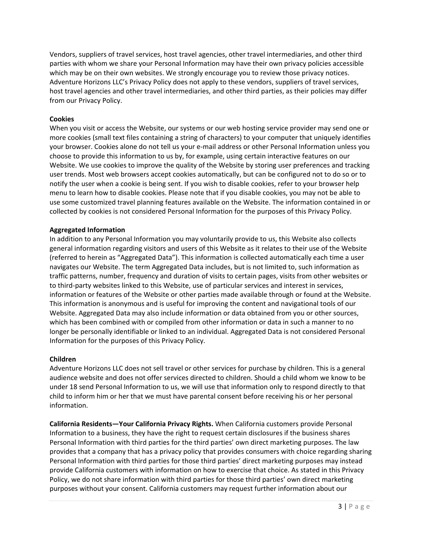Vendors, suppliers of travel services, host travel agencies, other travel intermediaries, and other third parties with whom we share your Personal Information may have their own privacy policies accessible which may be on their own websites. We strongly encourage you to review those privacy notices. Adventure Horizons LLC's Privacy Policy does not apply to these vendors, suppliers of travel services, host travel agencies and other travel intermediaries, and other third parties, as their policies may differ from our Privacy Policy.

# **Cookies**

When you visit or access the Website, our systems or our web hosting service provider may send one or more cookies (small text files containing a string of characters) to your computer that uniquely identifies your browser. Cookies alone do not tell us your e-mail address or other Personal Information unless you choose to provide this information to us by, for example, using certain interactive features on our Website. We use cookies to improve the quality of the Website by storing user preferences and tracking user trends. Most web browsers accept cookies automatically, but can be configured not to do so or to notify the user when a cookie is being sent. If you wish to disable cookies, refer to your browser help menu to learn how to disable cookies. Please note that if you disable cookies, you may not be able to use some customized travel planning features available on the Website. The information contained in or collected by cookies is not considered Personal Information for the purposes of this Privacy Policy.

# **Aggregated Information**

In addition to any Personal Information you may voluntarily provide to us, this Website also collects general information regarding visitors and users of this Website as it relates to their use of the Website (referred to herein as "Aggregated Data"). This information is collected automatically each time a user navigates our Website. The term Aggregated Data includes, but is not limited to, such information as traffic patterns, number, frequency and duration of visits to certain pages, visits from other websites or to third-party websites linked to this Website, use of particular services and interest in services, information or features of the Website or other parties made available through or found at the Website. This information is anonymous and is useful for improving the content and navigational tools of our Website. Aggregated Data may also include information or data obtained from you or other sources, which has been combined with or compiled from other information or data in such a manner to no longer be personally identifiable or linked to an individual. Aggregated Data is not considered Personal Information for the purposes of this Privacy Policy.

# **Children**

Adventure Horizons LLC does not sell travel or other services for purchase by children. This is a general audience website and does not offer services directed to children. Should a child whom we know to be under 18 send Personal Information to us, we will use that information only to respond directly to that child to inform him or her that we must have parental consent before receiving his or her personal information.

**California Residents—Your California Privacy Rights.** When California customers provide Personal Information to a business, they have the right to request certain disclosures if the business shares Personal Information with third parties for the third parties' own direct marketing purposes. The law provides that a company that has a privacy policy that provides consumers with choice regarding sharing Personal Information with third parties for those third parties' direct marketing purposes may instead provide California customers with information on how to exercise that choice. As stated in this Privacy Policy, we do not share information with third parties for those third parties' own direct marketing purposes without your consent. California customers may request further information about our